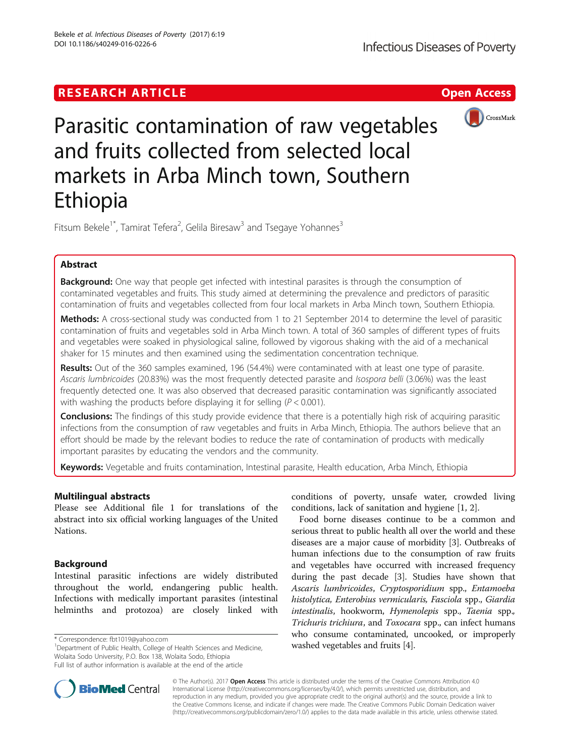# **RESEARCH ARTICLE Example 2018 12:30 The Contract of Contract ACCESS**



Parasitic contamination of raw vegetables and fruits collected from selected local markets in Arba Minch town, Southern Ethiopia

Fitsum Bekele<sup>1\*</sup>, Tamirat Tefera<sup>2</sup>, Gelila Biresaw<sup>3</sup> and Tsegaye Yohannes<sup>3</sup>

## Abstract

**Background:** One way that people get infected with intestinal parasites is through the consumption of contaminated vegetables and fruits. This study aimed at determining the prevalence and predictors of parasitic contamination of fruits and vegetables collected from four local markets in Arba Minch town, Southern Ethiopia.

Methods: A cross-sectional study was conducted from 1 to 21 September 2014 to determine the level of parasitic contamination of fruits and vegetables sold in Arba Minch town. A total of 360 samples of different types of fruits and vegetables were soaked in physiological saline, followed by vigorous shaking with the aid of a mechanical shaker for 15 minutes and then examined using the sedimentation concentration technique.

Results: Out of the 360 samples examined, 196 (54.4%) were contaminated with at least one type of parasite. Ascaris lumbricoides (20.83%) was the most frequently detected parasite and Isospora belli (3.06%) was the least frequently detected one. It was also observed that decreased parasitic contamination was significantly associated with washing the products before displaying it for selling ( $P < 0.001$ ).

**Conclusions:** The findings of this study provide evidence that there is a potentially high risk of acquiring parasitic infections from the consumption of raw vegetables and fruits in Arba Minch, Ethiopia. The authors believe that an effort should be made by the relevant bodies to reduce the rate of contamination of products with medically important parasites by educating the vendors and the community.

Keywords: Vegetable and fruits contamination, Intestinal parasite, Health education, Arba Minch, Ethiopia

## Multilingual abstracts

Please see Additional file [1](#page-5-0) for translations of the abstract into six official working languages of the United Nations.

## Background

Intestinal parasitic infections are widely distributed throughout the world, endangering public health. Infections with medically important parasites (intestinal helminths and protozoa) are closely linked with

Wolaita Sodo University, P.O. Box 138, Wolaita Sodo, Ethiopia Full list of author information is available at the end of the article conditions of poverty, unsafe water, crowded living conditions, lack of sanitation and hygiene [\[1, 2\]](#page-6-0).

Food borne diseases continue to be a common and serious threat to public health all over the world and these diseases are a major cause of morbidity [\[3](#page-6-0)]. Outbreaks of human infections due to the consumption of raw fruits and vegetables have occurred with increased frequency during the past decade [\[3](#page-6-0)]. Studies have shown that Ascaris lumbricoides, Cryptosporidium spp., Entamoeba histolytica, Enterobius vermicularis, Fasciola spp., Giardia intestinalis, hookworm, Hymenolepis spp., Taenia spp., Trichuris trichiura, and Toxocara spp., can infect humans who consume contaminated, uncooked, or improperly \* Correspondence: [fbt1019@yahoo.com](mailto:fbt1019@yahoo.com) **1988**<br><sup>1</sup> Department of Public Health, College of Health Sciences and Medicine, **1988 washed vegetables and fruits [\[4](#page-6-0)]** 



© The Author(s). 2017 **Open Access** This article is distributed under the terms of the Creative Commons Attribution 4.0 International License [\(http://creativecommons.org/licenses/by/4.0/](http://creativecommons.org/licenses/by/4.0/)), which permits unrestricted use, distribution, and reproduction in any medium, provided you give appropriate credit to the original author(s) and the source, provide a link to the Creative Commons license, and indicate if changes were made. The Creative Commons Public Domain Dedication waiver [\(http://creativecommons.org/publicdomain/zero/1.0/](http://creativecommons.org/publicdomain/zero/1.0/)) applies to the data made available in this article, unless otherwise stated.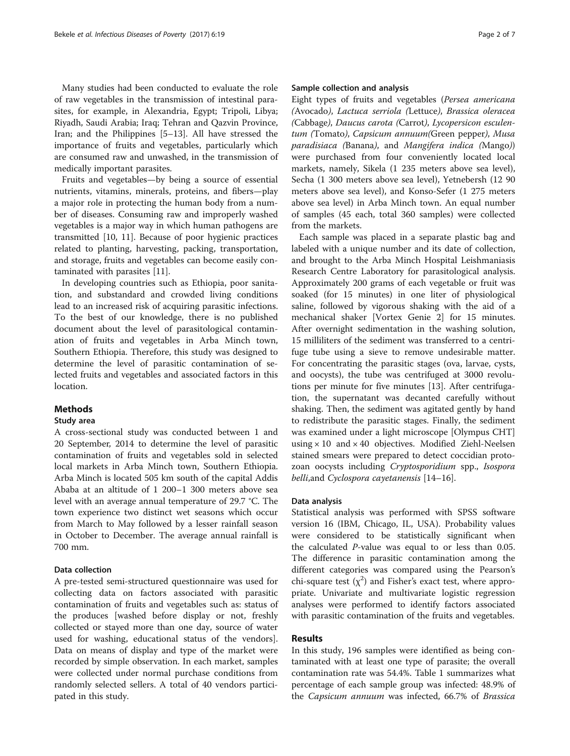Many studies had been conducted to evaluate the role of raw vegetables in the transmission of intestinal parasites, for example, in Alexandria, Egypt; Tripoli, Libya; Riyadh, Saudi Arabia; Iraq; Tehran and Qazvin Province, Iran; and the Philippines [\[5](#page-6-0)–[13\]](#page-6-0). All have stressed the importance of fruits and vegetables, particularly which are consumed raw and unwashed, in the transmission of medically important parasites.

Fruits and vegetables—by being a source of essential nutrients, vitamins, minerals, proteins, and fibers—play a major role in protecting the human body from a number of diseases. Consuming raw and improperly washed vegetables is a major way in which human pathogens are transmitted [[10, 11\]](#page-6-0). Because of poor hygienic practices related to planting, harvesting, packing, transportation, and storage, fruits and vegetables can become easily contaminated with parasites [[11\]](#page-6-0).

In developing countries such as Ethiopia, poor sanitation, and substandard and crowded living conditions lead to an increased risk of acquiring parasitic infections. To the best of our knowledge, there is no published document about the level of parasitological contamination of fruits and vegetables in Arba Minch town, Southern Ethiopia. Therefore, this study was designed to determine the level of parasitic contamination of selected fruits and vegetables and associated factors in this location.

## **Methods**

### Study area

A cross-sectional study was conducted between 1 and 20 September, 2014 to determine the level of parasitic contamination of fruits and vegetables sold in selected local markets in Arba Minch town, Southern Ethiopia. Arba Minch is located 505 km south of the capital Addis Ababa at an altitude of 1 200–1 300 meters above sea level with an average annual temperature of 29.7 °C. The town experience two distinct wet seasons which occur from March to May followed by a lesser rainfall season in October to December. The average annual rainfall is 700 mm.

## Data collection

A pre-tested semi-structured questionnaire was used for collecting data on factors associated with parasitic contamination of fruits and vegetables such as: status of the produces [washed before display or not, freshly collected or stayed more than one day, source of water used for washing, educational status of the vendors]. Data on means of display and type of the market were recorded by simple observation. In each market, samples were collected under normal purchase conditions from randomly selected sellers. A total of 40 vendors participated in this study.

### Sample collection and analysis

Eight types of fruits and vegetables (Persea americana (Avocado), Lactuca serriola (Lettuce), Brassica oleracea (Cabbage), Daucus carota (Carrot), Lycopersicon esculentum (Tomato), Capsicum annuum(Green pepper), Musa paradisiaca (Banana), and Mangifera indica (Mango)) were purchased from four conveniently located local markets, namely, Sikela (1 235 meters above sea level), Secha (1 300 meters above sea level), Yetnebersh (12 90 meters above sea level), and Konso-Sefer (1 275 meters above sea level) in Arba Minch town. An equal number of samples (45 each, total 360 samples) were collected from the markets.

Each sample was placed in a separate plastic bag and labeled with a unique number and its date of collection, and brought to the Arba Minch Hospital Leishmaniasis Research Centre Laboratory for parasitological analysis. Approximately 200 grams of each vegetable or fruit was soaked (for 15 minutes) in one liter of physiological saline, followed by vigorous shaking with the aid of a mechanical shaker [Vortex Genie 2] for 15 minutes. After overnight sedimentation in the washing solution, 15 milliliters of the sediment was transferred to a centrifuge tube using a sieve to remove undesirable matter. For concentrating the parasitic stages (ova, larvae, cysts, and oocysts), the tube was centrifuged at 3000 revolutions per minute for five minutes [[13\]](#page-6-0). After centrifugation, the supernatant was decanted carefully without shaking. Then, the sediment was agitated gently by hand to redistribute the parasitic stages. Finally, the sediment was examined under a light microscope [Olympus CHT] using  $\times$  10 and  $\times$  40 objectives. Modified Ziehl-Neelsen stained smears were prepared to detect coccidian protozoan oocysts including Cryptosporidium spp., Isospora belli,and Cyclospora cayetanensis [[14](#page-6-0)–[16](#page-6-0)].

### Data analysis

Statistical analysis was performed with SPSS software version 16 (IBM, Chicago, IL, USA). Probability values were considered to be statistically significant when the calculated P-value was equal to or less than 0.05. The difference in parasitic contamination among the different categories was compared using the Pearson's chi-square test  $(\chi^2)$  and Fisher's exact test, where appropriate. Univariate and multivariate logistic regression analyses were performed to identify factors associated with parasitic contamination of the fruits and vegetables.

### Results

In this study, 196 samples were identified as being contaminated with at least one type of parasite; the overall contamination rate was 54.4%. Table [1](#page-2-0) summarizes what percentage of each sample group was infected: 48.9% of the Capsicum annuum was infected, 66.7% of Brassica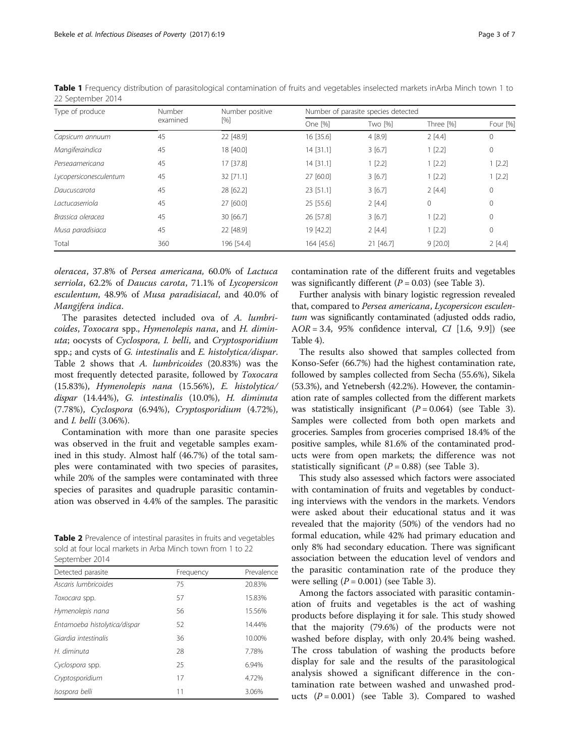| Type of produce        | Number<br>examined | Number positive<br>[%] | Number of parasite species detected |           |                     |              |
|------------------------|--------------------|------------------------|-------------------------------------|-----------|---------------------|--------------|
|                        |                    |                        | One [%]                             | Two [%]   | Three [%]           | Four [%]     |
| Capsicum annuum        | 45                 | 22 [48.9]              | 16 [35.6]                           | 4 [8.9]   | 2[4.4]              | 0            |
| Mangiferaindica        | 45                 | 18 [40.0]              | 14 [31.1]                           | 3[6.7]    | $[2.2]$             | $\mathbf{0}$ |
| Persegamericana        | 45                 | 17 [37.8]              | 14 [31.1]                           | 1 [2.2]   | $[2.2]$             | 1[2.2]       |
| Lycopersiconesculentum | 45                 | 32 [71.1]              | 27 [60.0]                           | 3[6.7]    | $[2.2]$             | 1[2.2]       |
| Daucuscarota           | 45                 | 28 [62.2]              | 23 [51.1]                           | 3[6.7]    | 2[4.4]              | $\mathbf{0}$ |
| <i>Lactucaserriola</i> | 45                 | 27 [60.0]              | 25 [55.6]                           | 2[4.4]    | $\mathbf{0}$        | $\Omega$     |
| Brassica oleracea      | 45                 | 30 [66.7]              | 26 [57.8]                           | 3[6.7]    | $\lceil 2.2 \rceil$ | $\mathbf{0}$ |
| Musa paradisiaca       | 45                 | 22 [48.9]              | 19 [42.2]                           | 2[4.4]    | $\lceil 2.2 \rceil$ | 0            |
| Total                  | 360                | 196 [54.4]             | 164 [45.6]                          | 21 [46.7] | $9$ [20.0]          | 2[4.4]       |

<span id="page-2-0"></span>Table 1 Frequency distribution of parasitological contamination of fruits and vegetables inselected markets inArba Minch town 1 to 22 September 2014

oleracea, 37.8% of Persea americana, 60.0% of Lactuca serriola, 62.2% of Daucus carota, 71.1% of Lycopersicon esculentum, 48.9% of Musa paradisiacal, and 40.0% of Mangifera indica.

The parasites detected included ova of A. lumbricoides, Toxocara spp., Hymenolepis nana, and H. diminuta; oocysts of Cyclospora, I. belli, and Cryptosporidium spp.; and cysts of G. intestinalis and E. histolytica/dispar. Table 2 shows that A. lumbricoides (20.83%) was the most frequently detected parasite, followed by Toxocara (15.83%), Hymenolepis nana (15.56%), E. histolytica/ dispar (14.44%), G. intestinalis (10.0%), H. diminuta (7.78%), Cyclospora (6.94%), Cryptosporidium (4.72%), and I. belli (3.06%).

Contamination with more than one parasite species was observed in the fruit and vegetable samples examined in this study. Almost half (46.7%) of the total samples were contaminated with two species of parasites, while 20% of the samples were contaminated with three species of parasites and quadruple parasitic contamination was observed in 4.4% of the samples. The parasitic

Table 2 Prevalence of intestinal parasites in fruits and vegetables sold at four local markets in Arba Minch town from 1 to 22 September 2014

| Detected parasite            | Frequency | Prevalence |  |
|------------------------------|-----------|------------|--|
| Ascaris lumbricoides         | 75        | 20.83%     |  |
| Toxocara spp.                | 57        | 15.83%     |  |
| Hymenolepis nana             | 56        | 15.56%     |  |
| Entamoeba histolytica/dispar | 52        | 14.44%     |  |
| Giardia intestinalis         | 36        | 10.00%     |  |
| H diminuta                   | 28        | 7.78%      |  |
| Cyclospora spp.              | 25        | 6.94%      |  |
| Cryptosporidium              | 17        | 4.72%      |  |
| Isospora belli               | 11        | 3.06%      |  |

contamination rate of the different fruits and vegetables was significantly different  $(P = 0.03)$  (see Table [3](#page-3-0)).

Further analysis with binary logistic regression revealed that, compared to Persea americana, Lycopersicon esculentum was significantly contaminated (adjusted odds radio,  $AOR = 3.4$ , 95% confidence interval, CI  $[1.6, 9.9]$  (see Table [4\)](#page-4-0).

The results also showed that samples collected from Konso-Sefer (66.7%) had the highest contamination rate, followed by samples collected from Secha (55.6%), Sikela (53.3%), and Yetnebersh (42.2%). However, the contamination rate of samples collected from the different markets was statistically insignificant  $(P = 0.064)$  (see Table [3](#page-3-0)). Samples were collected from both open markets and groceries. Samples from groceries comprised 18.4% of the positive samples, while 81.6% of the contaminated products were from open markets; the difference was not statistically significant ( $P = 0.88$ ) (see Table [3](#page-3-0)).

This study also assessed which factors were associated with contamination of fruits and vegetables by conducting interviews with the vendors in the markets. Vendors were asked about their educational status and it was revealed that the majority (50%) of the vendors had no formal education, while 42% had primary education and only 8% had secondary education. There was significant association between the education level of vendors and the parasitic contamination rate of the produce they were selling  $(P = 0.001)$  (see Table [3](#page-3-0)).

Among the factors associated with parasitic contamination of fruits and vegetables is the act of washing products before displaying it for sale. This study showed that the majority (79.6%) of the products were not washed before display, with only 20.4% being washed. The cross tabulation of washing the products before display for sale and the results of the parasitological analysis showed a significant difference in the contamination rate between washed and unwashed products  $(P = 0.001)$  (see Table [3\)](#page-3-0). Compared to washed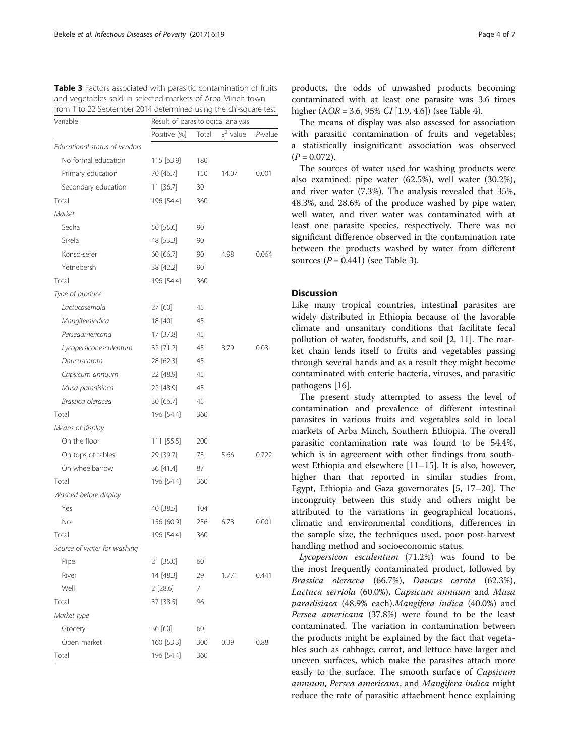<span id="page-3-0"></span>

| Table 3 Factors associated with parasitic contamination of fruits |
|-------------------------------------------------------------------|
| and vegetables sold in selected markets of Arba Minch town        |
| from 1 to 22 September 2014 determined using the chi-square test  |

| Variable                      | Result of parasitological analysis |       |             |         |
|-------------------------------|------------------------------------|-------|-------------|---------|
|                               | Positive [%]                       | Total | $x^2$ value | P-value |
| Educational status of vendors |                                    |       |             |         |
| No formal education           | 115 [63.9]                         | 180   |             |         |
| Primary education             | 70 [46.7]                          | 150   | 14.07       | 0.001   |
| Secondary education           | 11 [36.7]                          | 30    |             |         |
| Total                         | 196 [54.4]                         | 360   |             |         |
| Market                        |                                    |       |             |         |
| Secha                         | 50 [55.6]                          | 90    |             |         |
| Sikela                        | 48 [53.3]                          | 90    |             |         |
| Konso-sefer                   | 60 [66.7]                          | 90    | 4.98        | 0.064   |
| Yetnebersh                    | 38 [42.2]                          | 90    |             |         |
| Total                         | 196 [54.4]                         | 360   |             |         |
| Type of produce               |                                    |       |             |         |
| Lactucaserriola               | 27 [60]                            | 45    |             |         |
| Mangiferaindica               | 18 [40]                            | 45    |             |         |
| Perseaamericana               | 17 [37.8]                          | 45    |             |         |
| Lycopersiconesculentum        | 32 [71.2]                          | 45    | 8.79        | 0.03    |
| Daucuscarota                  | 28 [62.3]                          | 45    |             |         |
| Capsicum annuum               | 22 [48.9]                          | 45    |             |         |
| Musa paradisiaca              | 22 [48.9]                          | 45    |             |         |
| Brassica oleracea             | 30 [66.7]                          | 45    |             |         |
| Total                         | 196 [54.4]                         | 360   |             |         |
| Means of display              |                                    |       |             |         |
| On the floor                  | 111 [55.5]                         | 200   |             |         |
| On tops of tables             | 29 [39.7]                          | 73    | 5.66        | 0.722   |
| On wheelbarrow                | 36 [41.4]                          | 87    |             |         |
| Total                         | 196 [54.4]                         | 360   |             |         |
| Washed before display         |                                    |       |             |         |
| Yes                           | 40 [38.5]                          | 104   |             |         |
| No                            | 156 [60.9]                         | 256   | 6.78        | 0.001   |
| Total                         | 196 [54.4]                         | 360   |             |         |
| Source of water for washing   |                                    |       |             |         |
| Pipe                          | 21 [35.0]                          | 60    |             |         |
| River                         | 14 [48.3]                          | 29    | 1.771       | 0.441   |
| Well                          | 2[28.6]                            | 7     |             |         |
| Total                         | 37 [38.5]                          | 96    |             |         |
| Market type                   |                                    |       |             |         |
| Grocery                       | 36 [60]                            | 60    |             |         |
| Open market                   | 160 [53.3]                         | 300   | 0.39        | 0.88    |
| Total                         | 196 [54.4]                         | 360   |             |         |

products, the odds of unwashed products becoming contaminated with at least one parasite was 3.6 times higher (AOR = 3.6, 95% CI [1.9, 4.6]) (see Table [4](#page-4-0)).

The means of display was also assessed for association with parasitic contamination of fruits and vegetables; a statistically insignificant association was observed  $(P = 0.072)$ .

The sources of water used for washing products were also examined: pipe water (62.5%), well water (30.2%), and river water (7.3%). The analysis revealed that 35%, 48.3%, and 28.6% of the produce washed by pipe water, well water, and river water was contaminated with at least one parasite species, respectively. There was no significant difference observed in the contamination rate between the products washed by water from different sources  $(P = 0.441)$  (see Table 3).

## Discussion

Like many tropical countries, intestinal parasites are widely distributed in Ethiopia because of the favorable climate and unsanitary conditions that facilitate fecal pollution of water, foodstuffs, and soil [[2, 11](#page-6-0)]. The market chain lends itself to fruits and vegetables passing through several hands and as a result they might become contaminated with enteric bacteria, viruses, and parasitic pathogens [\[16](#page-6-0)].

The present study attempted to assess the level of contamination and prevalence of different intestinal parasites in various fruits and vegetables sold in local markets of Arba Minch, Southern Ethiopia. The overall parasitic contamination rate was found to be 54.4%, which is in agreement with other findings from southwest Ethiopia and elsewhere [[11](#page-6-0)–[15](#page-6-0)]. It is also, however, higher than that reported in similar studies from, Egypt, Ethiopia and Gaza governorates [\[5, 17](#page-6-0)–[20\]](#page-6-0). The incongruity between this study and others might be attributed to the variations in geographical locations, climatic and environmental conditions, differences in the sample size, the techniques used, poor post-harvest handling method and socioeconomic status.

Lycopersicon esculentum (71.2%) was found to be the most frequently contaminated product, followed by Brassica oleracea (66.7%), Daucus carota (62.3%), Lactuca serriola (60.0%), Capsicum annuum and Musa paradisiaca (48.9% each).Mangifera indica (40.0%) and Persea americana (37.8%) were found to be the least contaminated. The variation in contamination between the products might be explained by the fact that vegetables such as cabbage, carrot, and lettuce have larger and uneven surfaces, which make the parasites attach more easily to the surface. The smooth surface of Capsicum annuum, Persea americana, and Mangifera indica might reduce the rate of parasitic attachment hence explaining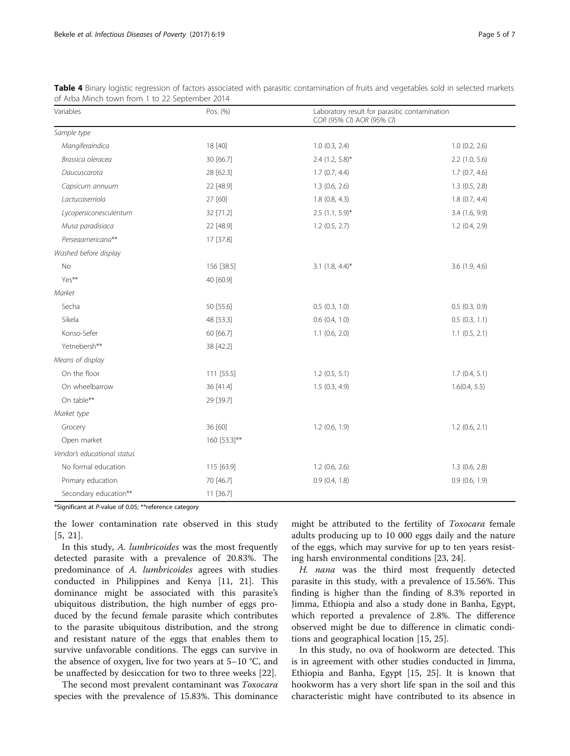<span id="page-4-0"></span>

| of Arba Minch town from 1 to 22 September 2014 |          | Table 4 Binary logistic regression of factors associated with parasitic contamination of fruits and vegetables sold in selected markets |
|------------------------------------------------|----------|-----------------------------------------------------------------------------------------------------------------------------------------|
| Variables                                      | Pos. (%) | Laboratory result for parasitic contamination<br>COR (95% CI) AOR (95% CI)                                                              |

Table 4 Binary logistic regression of factors associated with parasitic contable of Arba Minch town from 1 to 22 September 2014

|                             |              | COR (95% CI) AOR (95% CI) |                    |  |
|-----------------------------|--------------|---------------------------|--------------------|--|
| Sample type                 |              |                           |                    |  |
| Mangiferaindica             | 18 [40]      | $1.0$ (0.3, 2.4)          | $1.0$ (0.2, 2.6)   |  |
| Brassica oleracea           | 30 [66.7]    | $2.4$ (1.2, 5.8)*         | $2.2$ (1.0, 5.6)   |  |
| Daucuscarota                | 28 [62.3]    | 1.7(0.7, 4.4)             | 1.7(0.7, 4.6)      |  |
| Capsicum annuum             | 22 [48.9]    | $1.3$ (0.6, 2.6)          | $1.3$ (0.5, 2.8)   |  |
| Lactucaserriola             | 27 [60]      | $1.8$ (0.8, 4.3)          | $1.8$ (0.7, 4.4)   |  |
| Lycopersiconesculentum      | 32 [71.2]    | $2.5$ (1.1, 5.9)*         | 3.4 (1.6, 9.9)     |  |
| Musa paradisiaca            | 22 [48.9]    | $1.2$ (0.5, 2.7)          | 1.2(0.4, 2.9)      |  |
| Perseaamericana**           | 17 [37.8]    |                           |                    |  |
| Washed before display       |              |                           |                    |  |
| No                          | 156 [38.5]   | 3.1 $(1.8, 4.4)^*$        | 3.6(1.9, 4.6)      |  |
| Yes**                       | 40 [60.9]    |                           |                    |  |
| Market                      |              |                           |                    |  |
| Secha                       | 50 [55.6]    | 0.5(0.3, 1.0)             | $0.5$ $(0.3, 0.9)$ |  |
| Sikela                      | 48 [53.3]    | $0.6$ $(0.4, 1.0)$        | $0.5$ $(0.3, 1.1)$ |  |
| Konso-Sefer                 | 60 [66.7]    | $1.1$ (0.6, 2.0)          | $1.1$ $(0.5, 2.1)$ |  |
| Yetnebersh**                | 38 [42.2]    |                           |                    |  |
| Means of display            |              |                           |                    |  |
| On the floor                | 111 [55.5]   | $1.2$ (0.5, 5.1)          | 1.7(0.4, 5.1)      |  |
| On wheelbarrow              | 36 [41.4]    | 1.5(0.3, 4.9)             | 1.6(0.4, 5.5)      |  |
| On table**                  | 29 [39.7]    |                           |                    |  |
| Market type                 |              |                           |                    |  |
| Grocery                     | 36 [60]      | $1.2$ (0.6, 1.9)          | $1.2$ (0.6, 2.1)   |  |
| Open market                 | 160 [53.3]** |                           |                    |  |
| Vendor's educational status |              |                           |                    |  |
| No formal education         | 115 [63.9]   | $1.2$ (0.6, 2.6)          | $1.3$ (0.6, 2.8)   |  |
| Primary education           | 70 [46.7]    | $0.9$ $(0.4, 1.8)$        | $0.9$ $(0.6, 1.9)$ |  |
| Secondary education**       | 11 [36.7]    |                           |                    |  |

\*Significant at P-value of 0.05; \*\*reference category

the lower contamination rate observed in this study [[5](#page-6-0), [21](#page-6-0)].

In this study, A. lumbricoides was the most frequently detected parasite with a prevalence of 20.83%. The predominance of A. lumbricoides agrees with studies conducted in Philippines and Kenya [\[11, 21](#page-6-0)]. This dominance might be associated with this parasite's ubiquitous distribution, the high number of eggs produced by the fecund female parasite which contributes to the parasite ubiquitous distribution, and the strong and resistant nature of the eggs that enables them to survive unfavorable conditions. The eggs can survive in the absence of oxygen, live for two years at 5–10 °C, and be unaffected by desiccation for two to three weeks [[22\]](#page-6-0).

The second most prevalent contaminant was Toxocara species with the prevalence of 15.83%. This dominance might be attributed to the fertility of Toxocara female adults producing up to 10 000 eggs daily and the nature of the eggs, which may survive for up to ten years resisting harsh environmental conditions [[23, 24](#page-6-0)].

H. nana was the third most frequently detected parasite in this study, with a prevalence of 15.56%. This finding is higher than the finding of 8.3% reported in Jimma, Ethiopia and also a study done in Banha, Egypt, which reported a prevalence of 2.8%. The difference observed might be due to difference in climatic conditions and geographical location [[15, 25\]](#page-6-0).

In this study, no ova of hookworm are detected. This is in agreement with other studies conducted in Jimma, Ethiopia and Banha, Egypt [[15](#page-6-0), [25\]](#page-6-0). It is known that hookworm has a very short life span in the soil and this characteristic might have contributed to its absence in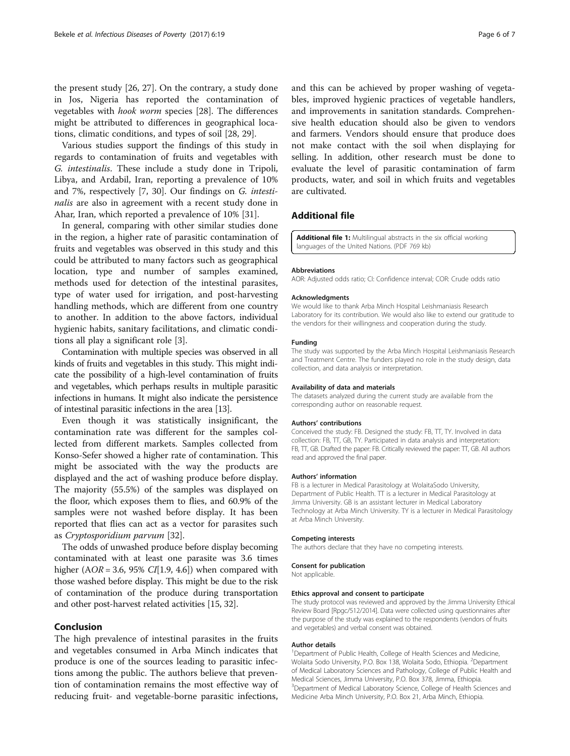<span id="page-5-0"></span>the present study [[26](#page-6-0), [27](#page-6-0)]. On the contrary, a study done in Jos, Nigeria has reported the contamination of vegetables with hook worm species [[28\]](#page-6-0). The differences might be attributed to differences in geographical locations, climatic conditions, and types of soil [\[28, 29\]](#page-6-0).

Various studies support the findings of this study in regards to contamination of fruits and vegetables with G. intestinalis. These include a study done in Tripoli, Libya, and Ardabil, Iran, reporting a prevalence of 10% and 7%, respectively [[7, 30\]](#page-6-0). Our findings on G. intestinalis are also in agreement with a recent study done in Ahar, Iran, which reported a prevalence of 10% [[31\]](#page-6-0).

In general, comparing with other similar studies done in the region, a higher rate of parasitic contamination of fruits and vegetables was observed in this study and this could be attributed to many factors such as geographical location, type and number of samples examined, methods used for detection of the intestinal parasites, type of water used for irrigation, and post-harvesting handling methods, which are different from one country to another. In addition to the above factors, individual hygienic habits, sanitary facilitations, and climatic conditions all play a significant role [[3\]](#page-6-0).

Contamination with multiple species was observed in all kinds of fruits and vegetables in this study. This might indicate the possibility of a high-level contamination of fruits and vegetables, which perhaps results in multiple parasitic infections in humans. It might also indicate the persistence of intestinal parasitic infections in the area [[13](#page-6-0)].

Even though it was statistically insignificant, the contamination rate was different for the samples collected from different markets. Samples collected from Konso-Sefer showed a higher rate of contamination. This might be associated with the way the products are displayed and the act of washing produce before display. The majority (55.5%) of the samples was displayed on the floor, which exposes them to flies, and 60.9% of the samples were not washed before display. It has been reported that flies can act as a vector for parasites such as Cryptosporidium parvum [[32\]](#page-6-0).

The odds of unwashed produce before display becoming contaminated with at least one parasite was 3.6 times higher ( $AOR = 3.6$ , 95% CI[1.9, 4.6]) when compared with those washed before display. This might be due to the risk of contamination of the produce during transportation and other post-harvest related activities [[15, 32\]](#page-6-0).

## Conclusion

The high prevalence of intestinal parasites in the fruits and vegetables consumed in Arba Minch indicates that produce is one of the sources leading to parasitic infections among the public. The authors believe that prevention of contamination remains the most effective way of reducing fruit- and vegetable-borne parasitic infections,

and this can be achieved by proper washing of vegetables, improved hygienic practices of vegetable handlers, and improvements in sanitation standards. Comprehensive health education should also be given to vendors and farmers. Vendors should ensure that produce does not make contact with the soil when displaying for selling. In addition, other research must be done to evaluate the level of parasitic contamination of farm products, water, and soil in which fruits and vegetables are cultivated.

## Additional file

[Additional file 1:](dx.doi.org/10.1186/s40249-016-0226-6) Multilingual abstracts in the six official working languages of the United Nations. (PDF 769 kb)

#### Abbreviations

AOR: Adjusted odds ratio; CI: Confidence interval; COR: Crude odds ratio

#### Acknowledgments

We would like to thank Arba Minch Hospital Leishmaniasis Research Laboratory for its contribution. We would also like to extend our gratitude to the vendors for their willingness and cooperation during the study.

#### Funding

The study was supported by the Arba Minch Hospital Leishmaniasis Research and Treatment Centre. The funders played no role in the study design, data collection, and data analysis or interpretation.

#### Availability of data and materials

The datasets analyzed during the current study are available from the corresponding author on reasonable request.

#### Authors' contributions

Conceived the study: FB. Designed the study: FB, TT, TY. Involved in data collection: FB, TT, GB, TY. Participated in data analysis and interpretation: FB, TT, GB. Drafted the paper: FB. Critically reviewed the paper: TT, GB. All authors read and approved the final paper.

#### Authors' information

FB is a lecturer in Medical Parasitology at WolaitaSodo University, Department of Public Health. TT is a lecturer in Medical Parasitology at Jimma University. GB is an assistant lecturer in Medical Laboratory Technology at Arba Minch University. TY is a lecturer in Medical Parasitology at Arba Minch University.

#### Competing interests

The authors declare that they have no competing interests.

## Consent for publication

Not applicable.

#### Ethics approval and consent to participate

The study protocol was reviewed and approved by the Jimma University Ethical Review Board [Rpgc/512/2014]. Data were collected using questionnaires after the purpose of the study was explained to the respondents (vendors of fruits and vegetables) and verbal consent was obtained.

#### Author details

<sup>1</sup>Department of Public Health, College of Health Sciences and Medicine Wolaita Sodo University, P.O. Box 138, Wolaita Sodo, Ethiopia. <sup>2</sup>Department of Medical Laboratory Sciences and Pathology, College of Public Health and Medical Sciences, Jimma University, P.O. Box 378, Jimma, Ethiopia. <sup>3</sup>Department of Medical Laboratory Science, College of Health Sciences and Medicine Arba Minch University, P.O. Box 21, Arba Minch, Ethiopia.